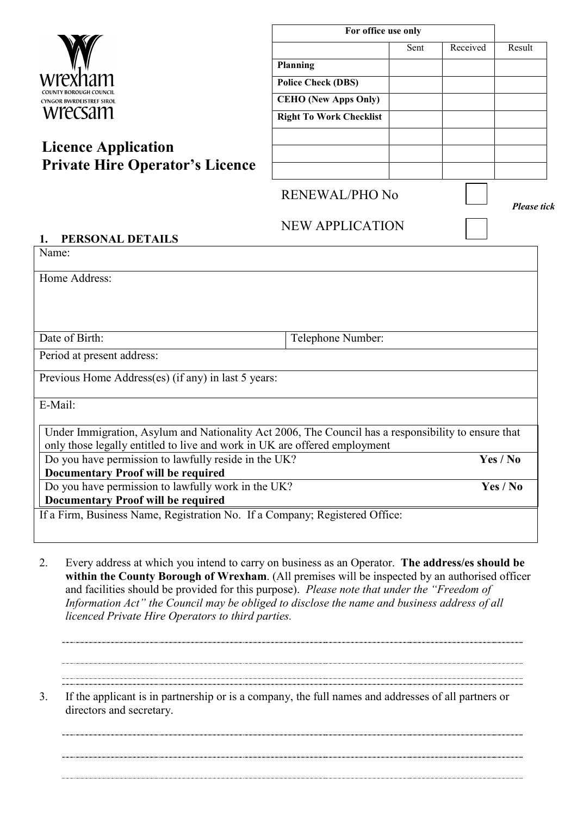| wrey<br>narrı                   |
|---------------------------------|
| COUNTY BOROUGH COUNCIL          |
| <b>CYNGOR BWRDEISTREF SIROL</b> |
|                                 |

# **Licence Application Private Hire Operator's Licence**

| For office use only |          |        |  |
|---------------------|----------|--------|--|
| Sent                | Received | Result |  |
|                     |          |        |  |
|                     |          |        |  |
|                     |          |        |  |
|                     |          |        |  |
|                     |          |        |  |
|                     |          |        |  |
|                     |          |        |  |
|                     |          |        |  |

### RENEWAL/PHO No

*Please tick*

## NEW APPLICATION

| PERSONAL DETAILS                                                            |                                                                                                     |
|-----------------------------------------------------------------------------|-----------------------------------------------------------------------------------------------------|
| Name:                                                                       |                                                                                                     |
|                                                                             |                                                                                                     |
| Home Address:                                                               |                                                                                                     |
|                                                                             |                                                                                                     |
|                                                                             |                                                                                                     |
|                                                                             |                                                                                                     |
| Date of Birth:                                                              | Telephone Number:                                                                                   |
| Period at present address:                                                  |                                                                                                     |
| Previous Home Address(es) (if any) in last 5 years:                         |                                                                                                     |
|                                                                             |                                                                                                     |
| E-Mail:                                                                     |                                                                                                     |
|                                                                             |                                                                                                     |
|                                                                             | Under Immigration, Asylum and Nationality Act 2006, The Council has a responsibility to ensure that |
| only those legally entitled to live and work in UK are offered employment   |                                                                                                     |
| Do you have permission to lawfully reside in the UK?                        | Yes / No                                                                                            |
| <b>Documentary Proof will be required</b>                                   |                                                                                                     |
| Do you have permission to lawfully work in the UK?                          | Yes / No                                                                                            |
| <b>Documentary Proof will be required</b>                                   |                                                                                                     |
| If a Firm, Business Name, Registration No. If a Company; Registered Office: |                                                                                                     |
|                                                                             |                                                                                                     |
|                                                                             |                                                                                                     |

- 2. Every address at which you intend to carry on business as an Operator. **The address/es should be within the County Borough of Wrexham**. (All premises will be inspected by an authorised officer and facilities should be provided for this purpose). *Please note that under the "Freedom of Information Act" the Council may be obliged to disclose the name and business address of all licenced Private Hire Operators to third parties.*
- 3. If the applicant is in partnership or is a company, the full names and addresses of all partners or directors and secretary.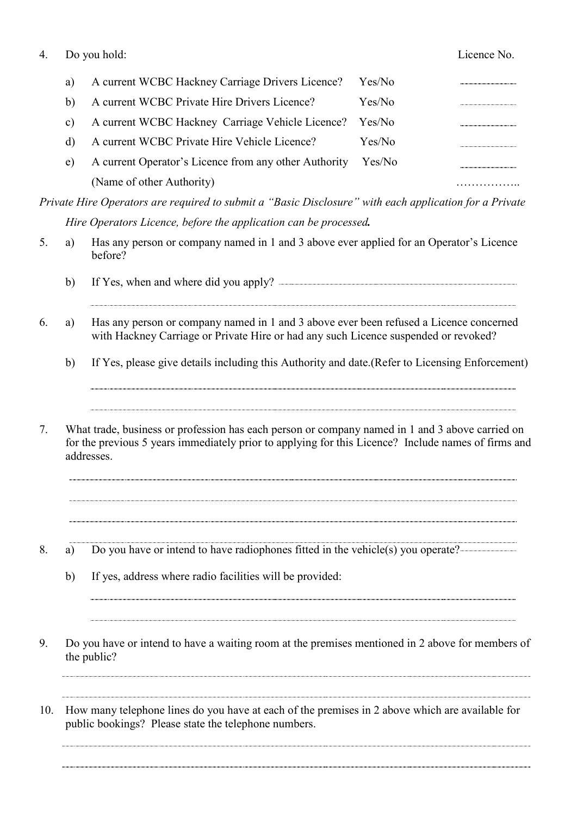| 4. |    | Do you hold:                                          |        | Licence No. |
|----|----|-------------------------------------------------------|--------|-------------|
|    | a) | A current WCBC Hackney Carriage Drivers Licence?      | Yes/No |             |
|    | b) | A current WCBC Private Hire Drivers Licence?          | Yes/No |             |
|    | C) | A current WCBC Hackney Carriage Vehicle Licence?      | Yes/No |             |
|    | d) | A current WCBC Private Hire Vehicle Licence?          | Yes/No |             |
|    | e) | A current Operator's Licence from any other Authority | Yes/No |             |
|    |    | (Name of other Authority)                             |        |             |

*Private Hire Operators are required to submit a "Basic Disclosure" with each application for a Private Hire Operators Licence, before the application can be processed.* 

- 5. a) Has any person or company named in 1 and 3 above ever applied for an Operator's Licence before?
	- b) If Yes, when and where did you apply?
- 6. a) Has any person or company named in 1 and 3 above ever been refused a Licence concerned with Hackney Carriage or Private Hire or had any such Licence suspended or revoked?
	- b) If Yes, please give details including this Authority and date.(Refer to Licensing Enforcement)

7. What trade, business or profession has each person or company named in 1 and 3 above carried on for the previous 5 years immediately prior to applying for this Licence? Include names of firms and addresses.

- 8. a) Do you have or intend to have radiophones fitted in the vehicle(s) you operate?
	- b) If yes, address where radio facilities will be provided:
- 9. Do you have or intend to have a waiting room at the premises mentioned in 2 above for members of the public?

10. How many telephone lines do you have at each of the premises in 2 above which are available for public bookings? Please state the telephone numbers.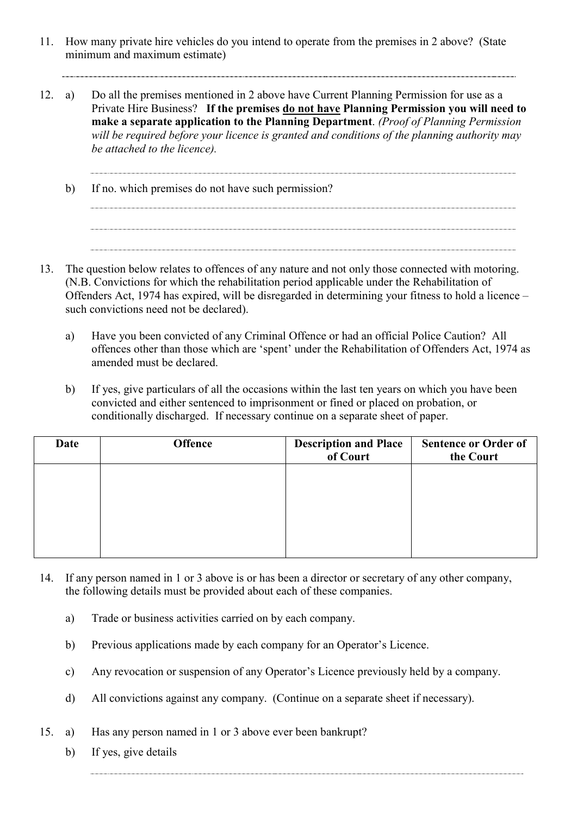- 11. How many private hire vehicles do you intend to operate from the premises in 2 above? (State minimum and maximum estimate)
- 12. a) Do all the premises mentioned in 2 above have Current Planning Permission for use as a Private Hire Business? **If the premises do not have Planning Permission you will need to make a separate application to the Planning Department**. *(Proof of Planning Permission*  will be required before your licence is granted and conditions of the planning authority may *be attached to the licence).* 
	- b) If no. which premises do not have such permission?
- 13. The question below relates to offences of any nature and not only those connected with motoring. (N.B. Convictions for which the rehabilitation period applicable under the Rehabilitation of Offenders Act, 1974 has expired, will be disregarded in determining your fitness to hold a licence – such convictions need not be declared).
	- a) Have you been convicted of any Criminal Offence or had an official Police Caution? All offences other than those which are 'spent' under the Rehabilitation of Offenders Act, 1974 as amended must be declared.

 b) If yes, give particulars of all the occasions within the last ten years on which you have been convicted and either sentenced to imprisonment or fined or placed on probation, or conditionally discharged. If necessary continue on a separate sheet of paper.

| Date | <b>Offence</b> | <b>Description and Place</b><br>of Court | <b>Sentence or Order of</b><br>the Court |
|------|----------------|------------------------------------------|------------------------------------------|
|      |                |                                          |                                          |
|      |                |                                          |                                          |
|      |                |                                          |                                          |
|      |                |                                          |                                          |

- 14. If any person named in 1 or 3 above is or has been a director or secretary of any other company, the following details must be provided about each of these companies.
	- a) Trade or business activities carried on by each company.
	- b) Previous applications made by each company for an Operator's Licence.
	- c) Any revocation or suspension of any Operator's Licence previously held by a company.
	- d) All convictions against any company. (Continue on a separate sheet if necessary).
- 15. a) Has any person named in 1 or 3 above ever been bankrupt?
	- b) If yes, give details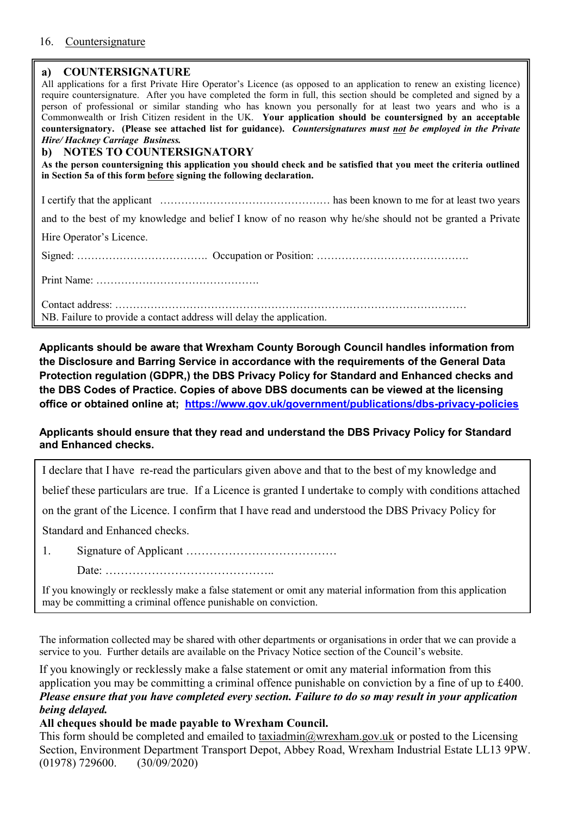#### 16. Countersignature

#### **a) COUNTERSIGNATURE**

| $\sim$                                                                                                                                                                                                                                            |
|---------------------------------------------------------------------------------------------------------------------------------------------------------------------------------------------------------------------------------------------------|
| All applications for a first Private Hire Operator's Licence (as opposed to an application to renew an existing licence)<br>require countersignature. After you have completed the form in full, this section should be completed and signed by a |
| person of professional or similar standing who has known you personally for at least two years and who is a                                                                                                                                       |
| Commonwealth or Irish Citizen resident in the UK. Your application should be countersigned by an acceptable                                                                                                                                       |
| countersignatory. (Please see attached list for guidance). Countersignatures must not be employed in the Private                                                                                                                                  |
| Hire/Hackney Carriage Business.                                                                                                                                                                                                                   |
| b) NOTES TO COUNTERSIGNATORY                                                                                                                                                                                                                      |
| As the person countersigning this application you should check and be satisfied that you meet the criteria outlined                                                                                                                               |
| in Section 5a of this form before signing the following declaration.                                                                                                                                                                              |
|                                                                                                                                                                                                                                                   |
|                                                                                                                                                                                                                                                   |
| and to the best of my knowledge and belief I know of no reason why he/she should not be granted a Private                                                                                                                                         |
| Hire Operator's Licence.                                                                                                                                                                                                                          |
|                                                                                                                                                                                                                                                   |
|                                                                                                                                                                                                                                                   |
|                                                                                                                                                                                                                                                   |
| NB. Failure to provide a contact address will delay the application.                                                                                                                                                                              |

**Applicants should be aware that Wrexham County Borough Council handles information from the Disclosure and Barring Service in accordance with the requirements of the General Data Protection regulation (GDPR,) the DBS Privacy Policy for Standard and Enhanced checks and the DBS Codes of Practice. Copies of above DBS documents can be viewed at the licensing office or obtained online at; <https://www.gov.uk/government/publications/dbs-privacy-policies>**

#### **Applicants should ensure that they read and understand the DBS Privacy Policy for Standard and Enhanced checks.**

I declare that I have re-read the particulars given above and that to the best of my knowledge and belief these particulars are true. If a Licence is granted I undertake to comply with conditions attached

on the grant of the Licence. I confirm that I have read and understood the DBS Privacy Policy for

Standard and Enhanced checks.

1. Signature of Applicant …………………………………

Date: ……………………………………..

If you knowingly or recklessly make a false statement or omit any material information from this application may be committing a criminal offence punishable on conviction.

The information collected may be shared with other departments or organisations in order that we can provide a service to you. Further details are available on the Privacy Notice section of the Council's website.

If you knowingly or recklessly make a false statement or omit any material information from this application you may be committing a criminal offence punishable on conviction by a fine of up to £400. *Please ensure that you have completed every section. Failure to do so may result in your application being delayed.* 

#### **All cheques should be made payable to Wrexham Council.**

This form should be completed and emailed to [taxiadmin@wrexham.gov.uk](mailto:taxiadmin@wrexham.gov.uk) or posted to the Licensing Section, Environment Department Transport Depot, Abbey Road, Wrexham Industrial Estate LL13 9PW. (01978) 729600. (30/09/2020)